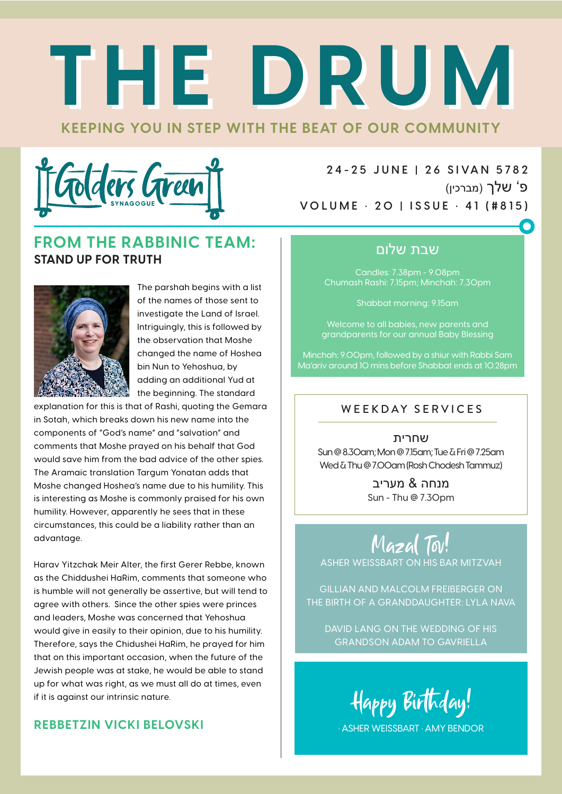# **KEEPING YOU IN STEP WITH THE BEAT OF OUR COMMUNITY THE DRUM THE DRUM**



**2 4 - 2 5 J U N E | 2 6 S I VA N 5 78 2** פ' שלך (מברכין) **VOLUME • 20 | ISSUE • 41 (#815)**

#### **FROM THE RABBINIC TEAM: STAND UP FOR TRUTH**



The parshah begins with a list of the names of those sent to investigate the Land of Israel. Intriguingly, this is followed by the observation that Moshe changed the name of Hoshea bin Nun to Yehoshua, by adding an additional Yud at the beginning. The standard

explanation for this is that of Rashi, quoting the Gemara in Sotah, which breaks down his new name into the components of "God's name" and "salvation" and comments that Moshe prayed on his behalf that God would save him from the bad advice of the other spies. The Aramaic translation Targum Yonatan adds that Moshe changed Hoshea's name due to his humility. This is interesting as Moshe is commonly praised for his own humility. However, apparently he sees that in these circumstances, this could be a liability rather than an advantage.

Harav Yitzchak Meir Alter, the first Gerer Rebbe, known as the Chiddushei HaRim, comments that someone who is humble will not generally be assertive, but will tend to agree with others. Since the other spies were princes and leaders, Moshe was concerned that Yehoshua would give in easily to their opinion, due to his humility. Therefore, says the Chidushei HaRim, he prayed for him that on this important occasion, when the future of the Jewish people was at stake, he would be able to stand up for what was right, as we must all do at times, even if it is against our intrinsic nature.

#### **REBBETZIN VICKI BELOVSKI**

#### שבת שלום

Candles: 7.38pm - 9.08pm Chumash Rashi: 7.15pm; Minchah: 7.30pm

Shabbat morning: 9.15am

Welcome to all babies, new parents and grandparents for our annual Baby Blessing

Minchah: 9.00pm, followed by a shiur with Rabbi Sam Ma'ariv around 10 mins before Shabbat ends at 10.28pm

#### WEEKDAY SERVICES

שחרית Sun @ 8.30am; Mon @ 7.15am; Tue & Fri @ 7.25am Wed & Thu @ 7.00am (Rosh Chodesh Tammuz)

> מנחה & מעריב Sun - Thu @ 7.30pm

Mazal Tov! ASHER WEISSBART ON HIS BAR MITZVAH

GILLIAN AND MALCOLM FREIBERGER ON THE BIRTH OF A GRANDDAUGHTER: LYLA NAVA

DAVID LANG ON THE WEDDING OF HIS GRANDSON ADAM TO GAVRIELLA

Happy Birthday!

• ASHER WEISSBART • AMY BENDOR